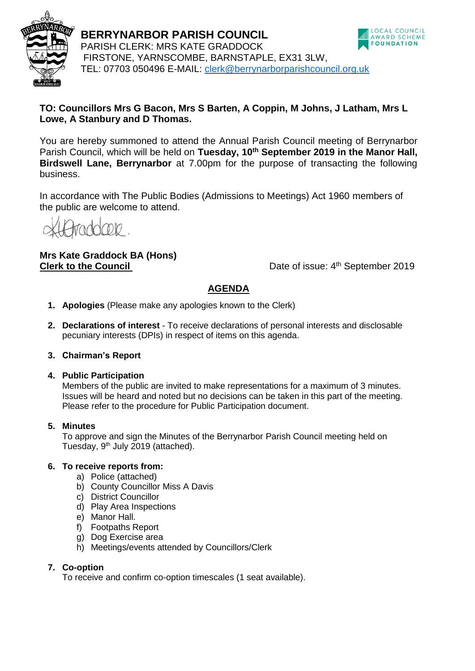

**BERRYNARBOR PARISH COUNCIL** PARISH CLERK: MRS KATE GRADDOCK FIRSTONE, YARNSCOMBE, BARNSTAPLE, EX31 3LW, TEL: 07703 050496 E-MAIL: [clerk@berrynarborparishcouncil.org.uk](mailto:clerk@berrynarborparishcouncil.org.uk)



# **TO: Councillors Mrs G Bacon, Mrs S Barten, A Coppin, M Johns, J Latham, Mrs L Lowe, A Stanbury and D Thomas.**

You are hereby summoned to attend the Annual Parish Council meeting of Berrynarbor Parish Council, which will be held on **Tuesday, 10th September 2019 in the Manor Hall, Birdswell Lane, Berrynarbor** at 7.00pm for the purpose of transacting the following business.

In accordance with The Public Bodies (Admissions to Meetings) Act 1960 members of the public are welcome to attend.

raddone

# **Mrs Kate Graddock BA (Hons) Clerk to the Council**

Date of issue: 4<sup>th</sup> September 2019

# **AGENDA**

- **1. Apologies** (Please make any apologies known to the Clerk)
- **2. Declarations of interest**  To receive declarations of personal interests and disclosable pecuniary interests (DPIs) in respect of items on this agenda.
- **3. Chairman's Report**
- **4. Public Participation**

Members of the public are invited to make representations for a maximum of 3 minutes. Issues will be heard and noted but no decisions can be taken in this part of the meeting. Please refer to the procedure for Public Participation document.

## **5. Minutes**

To approve and sign the Minutes of the Berrynarbor Parish Council meeting held on Tuesday, 9<sup>th</sup> July 2019 (attached).

## **6. To receive reports from:**

- a) Police (attached)
- b) County Councillor Miss A Davis
- c) District Councillor
- d) Play Area Inspections
- e) Manor Hall.
- f) Footpaths Report
- g) Dog Exercise area
- h) Meetings/events attended by Councillors/Clerk

# **7. Co-option**

To receive and confirm co-option timescales (1 seat available).